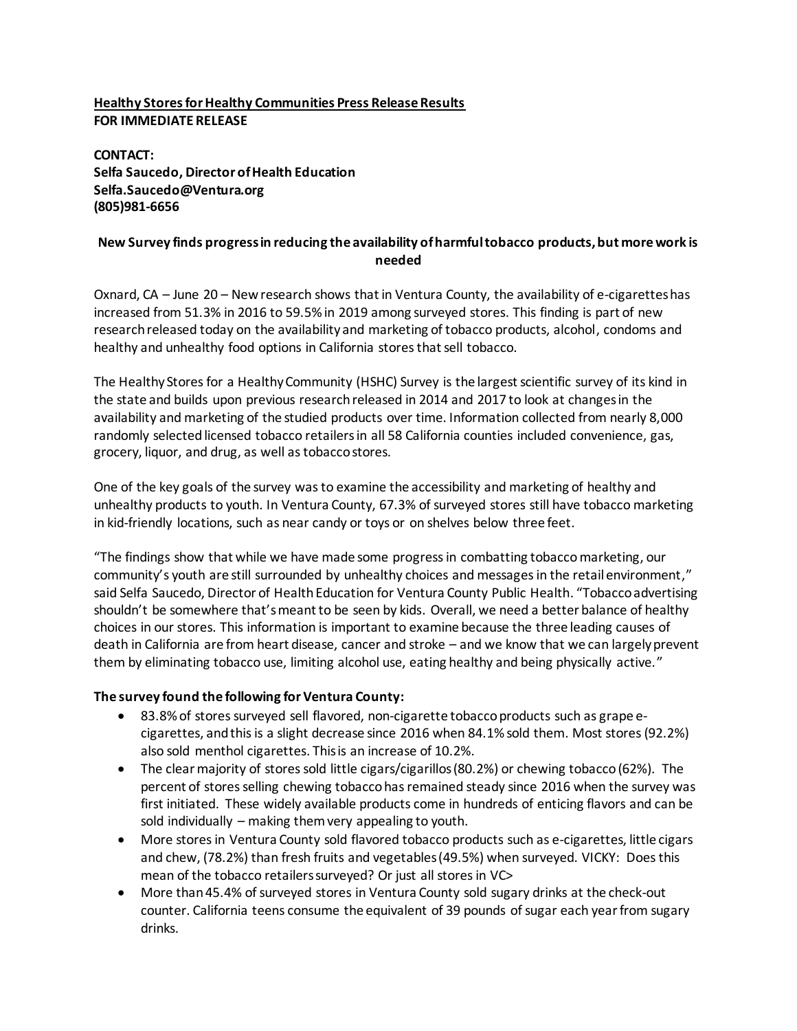## **Healthy Stores for Healthy Communities Press Release Results FOR IMMEDIATE RELEASE**

**CONTACT: Selfa Saucedo, Director of Health Education Selfa.Saucedo@Ventura.org (805)981-6656**

## **New Survey finds progress in reducing the availability of harmful tobacco products,but more work is needed**

Oxnard, CA – June 20 – New research shows that in Ventura County, the availability of e-cigarettes has increased from 51.3% in 2016 to 59.5% in 2019 among surveyed stores. This finding is part of new research released today on the availability and marketing of tobacco products, alcohol, condoms and healthy and unhealthy food options in California stores that sell tobacco.

The Healthy Storesfor a Healthy Community (HSHC) Survey is the largest scientific survey of its kind in the state and builds upon previous research released in 2014 and 2017 to look at changes in the availability and marketing of the studied products over time. Information collected from nearly 8,000 randomly selected licensed tobacco retailers in all 58 California counties included convenience, gas, grocery, liquor, and drug, as well as tobacco stores.

One of the key goals of the survey was to examine the accessibility and marketing of healthy and unhealthy products to youth. In Ventura County, 67.3% of surveyed stores still have tobacco marketing in kid-friendly locations, such as near candy or toys or on shelves below three feet.

"The findings show that while we have made some progress in combatting tobaccomarketing, our community's youth are still surrounded by unhealthy choices and messages in the retail environment," said Selfa Saucedo, Director of Health Education for Ventura County Public Health. "Tobacco advertising shouldn't be somewhere that's meant to be seen by kids. Overall, we need a better balance of healthy choices in our stores. This information is important to examine because the three leading causes of death in California are from heart disease, cancer and stroke – and we know that we can largely prevent them by eliminating tobacco use, limiting alcohol use, eating healthy and being physically active."

## **The survey found the following for Ventura County:**

- 83.8% of stores surveyed sell flavored, non-cigarette tobacco products such as grape ecigarettes, and this is a slight decrease since 2016 when 84.1% sold them. Most stores (92.2%) also sold menthol cigarettes. This is an increase of 10.2%.
- The clear majority of stores sold little cigars/cigarillos(80.2%) or chewing tobacco (62%). The percent of stores selling chewing tobacco has remained steady since 2016 when the survey was first initiated. These widely available products come in hundreds of enticing flavors and can be sold individually – making them very appealing to youth.
- More stores in Ventura County sold flavored tobacco products such as e-cigarettes, little cigars and chew, (78.2%) than fresh fruits and vegetables (49.5%) when surveyed. VICKY: Does this mean of the tobacco retailers surveyed? Or just all stores in VC>
- More than 45.4% of surveyed stores in Ventura County sold sugary drinks at the check-out counter. California teens consume the equivalent of 39 pounds of sugar each year from sugary drinks.